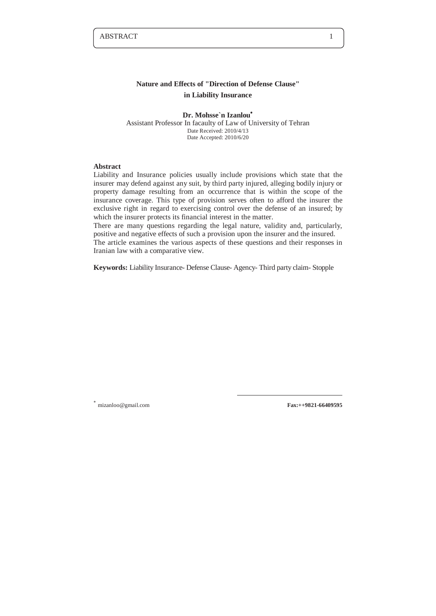# **Nature and Effects of "Direction of Defense Clause" in Liability Insurance**

**Dr. Mohsse`n Izanlou<sup>∗</sup>** Assistant Professor In facaulty of Law of University of Tehran Date Received: 2010/4/13 Date Accepted: 2010/6/20

# **Abstract**

Liability and Insurance policies usually include provisions which state that the insurer may defend against any suit, by third party injured, alleging bodily injury or property damage resulting from an occurrence that is within the scope of the insurance coverage. This type of provision serves often to afford the insurer the exclusive right in regard to exercising control over the defense of an insured; by which the insurer protects its financial interest in the matter.

There are many questions regarding the legal nature, validity and, particularly, positive and negative effects of such a provision upon the insurer and the insured.

The article examines the various aspects of these questions and their responses in Iranian law with a comparative view.

**Keywords:** Liability Insurance- Defense Clause- Agency- Third party claim- Stopple

-

**<sup>∗</sup>** mizanloo@gmail.com **Fax:++9821-66409595**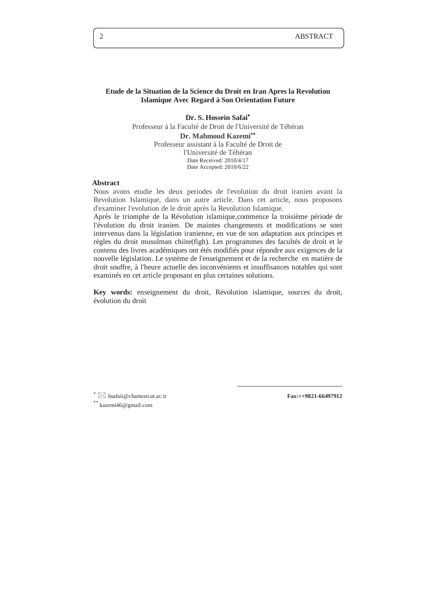## **Etude de la Situation de la Science du Droit en Iran Apres la Revolution Islamique Avec Regard à Son Orientation Future**

**Dr. S. Hossein Safai<sup>∗</sup>** Professeur à la Faculté de Droit de l'Université de Téhéran **Dr. Mahmoud Kazemi∗∗** Professeur assistant à la Faculté de Droit de l'Université de Téhéran Date Received: 2010/4/17 Date Accepted: 2010/6/22

# **Abstract**

Nous avons etudie les deux periodes de l'evolution du droit iranien avant la Revolution Islamique, dans un autre article. Dans cet article, nous proposons d'examiner l'evolution de le droit après la Revolution Islamique.

Après le triomphe de la Révolution islamique,commence la troisième période de l'évolution du droit iranien. De maintes changements et modifications se sont intervenus dans la législation iranienne, en vue de son adaptation aux principes et règles du droit musulman chiite(figh). Les programmes des facultés de droit et le contenu des livres académiques ont étés modifiés pour répondre aux exigences de la nouvelle législation. Le système de l'enseignement et de la recherche en matière de droit souffre, à l'heure actuelle des inconvénients et insuffisances notables qui sont examinés en cet article proposant en plus certaines solutions.

**Key words:** enseignement du droit, Révolution islamique, sources du droit, évolution du droit

 $\overline{a}$ 

**<sup>∗</sup>** hsafaii@chamran.ut.ac.ir **Fax:++9821-66497912**

**∗∗** kazemi46@gmail.com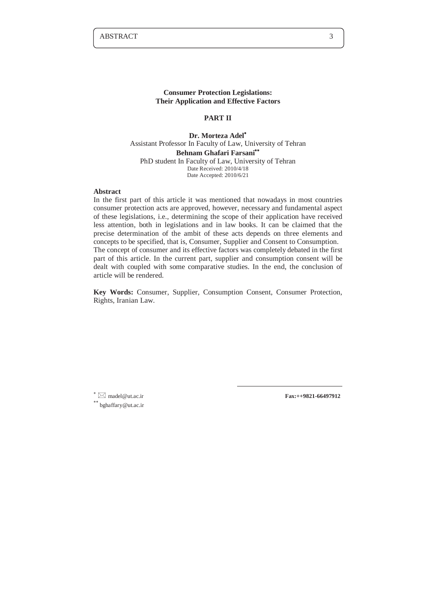#### **Consumer Protection Legislations: Their Application and Effective Factors**

## **PART II**

**Dr. Morteza Adel<sup>∗</sup>** Assistant Professor In Faculty of Law, University of Tehran **Behnam Ghafari Farsani∗∗** PhD student In Faculty of Law, University of Tehran Date Received: 2010/4/18 Date Accepted: 2010/6/21

#### **Abstract**

In the first part of this article it was mentioned that nowadays in most countries consumer protection acts are approved, however, necessary and fundamental aspect of these legislations, i.e., determining the scope of their application have received less attention, both in legislations and in law books. It can be claimed that the precise determination of the ambit of these acts depends on three elements and concepts to be specified, that is, Consumer, Supplier and Consent to Consumption. The concept of consumer and its effective factors was completely debated in the first part of this article. In the current part, supplier and consumption consent will be dealt with coupled with some comparative studies. In the end, the conclusion of article will be rendered.

**Key Words:** Consumer, Supplier, Consumption Consent, Consumer Protection, Rights, Iranian Law.

 $\overline{a}$ 

**<sup>∗</sup>** madel@ut.ac.ir **Fax:++9821-66497912 ∗∗** bghaffary@ut.ac.ir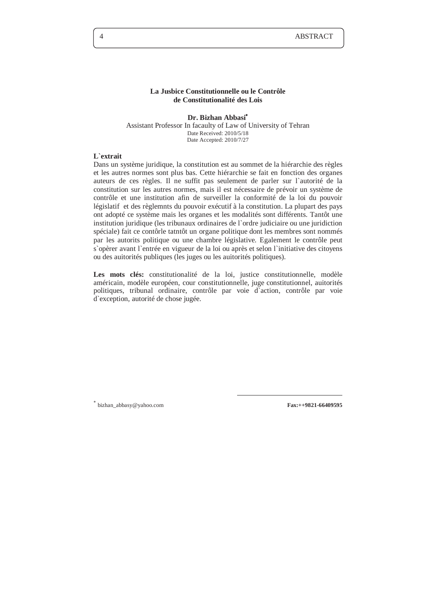## **La Jusbice Constitutionnelle ou le Contrôle de Constitutionalité des Lois**

**Dr. Bizhan Abbasi<sup>∗</sup>** Assistant Professor In facaulty of Law of University of Tehran Date Received: 2010/5/18 Date Accepted: 2010/7/27

# **L`extrait**

Dans un système juridique, la constitution est au sommet de la hiérarchie des règles et les autres normes sont plus bas. Cette hiérarchie se fait en fonction des organes auteurs de ces règles. Il ne suffit pas seulement de parler sur l`autorité de la constitution sur les autres normes, mais il est nécessaire de prévoir un système de contrôle et une institution afin de surveiller la conformité de la loi du pouvoir législatif et des règlemnts du pouvoir exécutif à la constitution. La plupart des pays ont adopté ce système mais les organes et les modalités sont différents. Tantôt une institution juridique (les tribunaux ordinaires de l`ordre judiciaire ou une juridiction spéciale) fait ce contôrle tatntôt un organe politique dont les membres sont nommés par les autorits politique ou une chambre législative. Egalement le contrôle peut s`opèrer avant l`entrée en vigueur de la loi ou après et selon l`initiative des citoyens ou des auitorités publiques (les juges ou les auitorités politiques).

Les mots clés: constitutionalité de la loi, justice constitutionnelle, modèle américain, modèle européen, cour constitutionnelle, juge constitutionnel, auitorités politiques, tribunal ordinaire, contrôle par voie d`action, contrôle par voie d`exception, autorité de chose jugée.

-

**<sup>∗</sup>** bizhan\_abbasy@yahoo.com **Fax:++9821-66409595**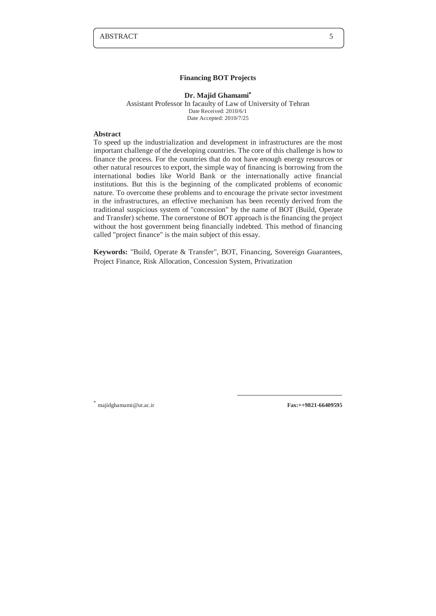#### **Financing BOT Projects**

#### **Dr. Majid Ghamami<sup>∗</sup>** Assistant Professor In facaulty of Law of University of Tehran Date Received: 2010/6/1 Date Accepted: 2010/7/25

# **Abstract**

To speed up the industrialization and development in infrastructures are the most important challenge of the developing countries. The core of this challenge is how to finance the process. For the countries that do not have enough energy resources or other natural resources to export, the simple way of financing is borrowing from the international bodies like World Bank or the internationally active financial institutions. But this is the beginning of the complicated problems of economic nature. To overcome these problems and to encourage the private sector investment in the infrastructures, an effective mechanism has been recently derived from the traditional suspicious system of "concession" by the name of BOT (Build, Operate and Transfer) scheme. The cornerstone of BOT approach is the financing the project without the host government being financially indebted. This method of financing called "project finance" is the main subject of this essay.

**Keywords:** "Build, Operate & Transfer", BOT, Financing, Sovereign Guarantees, Project Finance, Risk Allocation, Concession System, Privatization

-

**<sup>∗</sup>** majidghamami@ut.ac.ir **Fax:++9821-66409595**